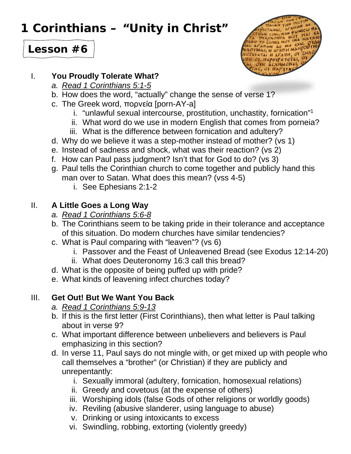# **1 Corinthians – "Unity in Christ"**



## **Lesson #6**

#### I. **You Proudly Tolerate What?**

- *a. Read 1 Corinthians 5:1-5*
- b. How does the word, "actually" change the sense of verse 1?
- c. The Greek word, πορνεία [porn-AY-a]
	- i. "unlawful sexual intercourse, prostitution, unchastity, fornication" 1
	- ii. What word do we use in modern English that comes from porneia?
	- iii. What is the difference between fornication and adultery?
- d. Why do we believe it was a step-mother instead of mother? (vs 1)
- e. Instead of sadness and shock, what was their reaction? (vs 2)
- f. How can Paul pass judgment? Isn't that for God to do? (vs 3)
- g. Paul tells the Corinthian church to come together and publicly hand this man over to Satan. What does this mean? (vss 4-5)
	- i. See Ephesians 2:1-2

### II. **A Little Goes a Long Way**

- *a. Read 1 Corinthians 5:6-8*
- b. The Corinthians seem to be taking pride in their tolerance and acceptance of this situation. Do modern churches have similar tendencies?
- c. What is Paul comparing with "leaven"? (vs 6)
	- i. Passover and the Feast of Unleavened Bread (see Exodus 12:14-20)
	- ii. What does Deuteronomy 16:3 call this bread?
- d. What is the opposite of being puffed up with pride?
- e. What kinds of leavening infect churches today?

### III. **Get Out! But We Want You Back**

- *a. Read 1 Corinthians 5:9-13*
- b. If this is the first letter (First Corinthians), then what letter is Paul talking about in verse 9?
- c. What important difference between unbelievers and believers is Paul emphasizing in this section?
- d. In verse 11, Paul says do not mingle with, or get mixed up with people who call themselves a "brother" (or Christian) if they are publicly and unrepentantly:
	- i. Sexually immoral (adultery, fornication, homosexual relations)
	- ii. Greedy and covetous (at the expense of others)
	- iii. Worshiping idols (false Gods of other religions or worldly goods)
	- iv. Reviling (abusive slanderer, using language to abuse)
	- v. Drinking or using intoxicants to excess
	- vi. Swindling, robbing, extorting (violently greedy)